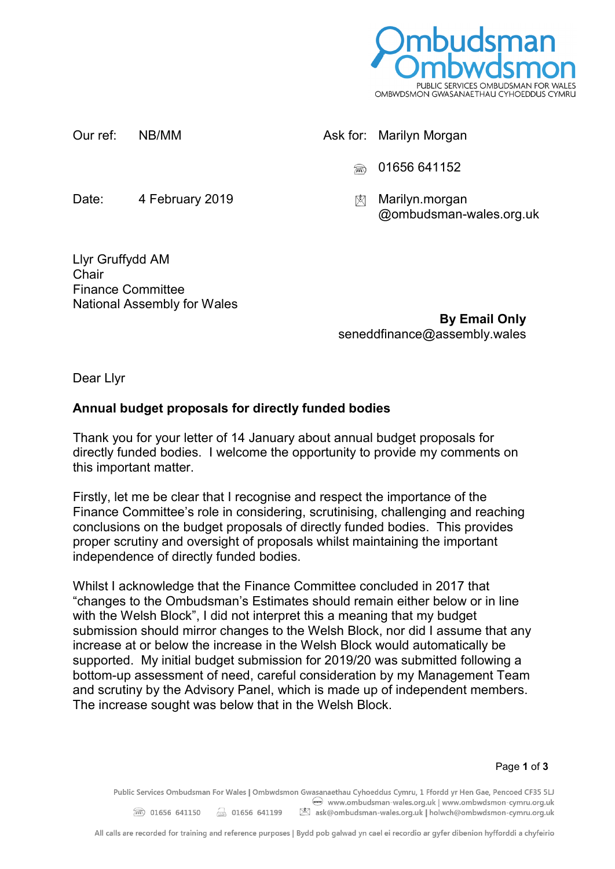

| Our ref: | NB/MM           |   | Ask for: Marilyn Morgan                   |
|----------|-----------------|---|-------------------------------------------|
|          |                 |   | <b><u></u> ■ 01656 641152</b>             |
| Date:    | 4 February 2019 | ⊠ | Marilyn.morgan<br>@ombudsman-wales.org.uk |

Llyr Gruffydd AM **Chair** Finance Committee National Assembly for Wales

**By Email Only** seneddfinance@assembly.wales

Dear Llyr

## **Annual budget proposals for directly funded bodies**

Thank you for your letter of 14 January about annual budget proposals for directly funded bodies. I welcome the opportunity to provide my comments on this important matter.

Firstly, let me be clear that I recognise and respect the importance of the Finance Committee's role in considering, scrutinising, challenging and reaching conclusions on the budget proposals of directly funded bodies. This provides proper scrutiny and oversight of proposals whilst maintaining the important independence of directly funded bodies.

Whilst I acknowledge that the Finance Committee concluded in 2017 that "changes to the Ombudsman's Estimates should remain either below or in line with the Welsh Block". I did not interpret this a meaning that my budget submission should mirror changes to the Welsh Block, nor did I assume that any increase at or below the increase in the Welsh Block would automatically be supported. My initial budget submission for 2019/20 was submitted following a bottom-up assessment of need, careful consideration by my Management Team and scrutiny by the Advisory Panel, which is made up of independent members. The increase sought was below that in the Welsh Block.

Public Services Ombudsman For Wales | Ombwdsmon Gwasanaethau Cyhoeddus Cymru, 1 Ffordd yr Hen Gae, Pencoed CF35 5LJ www.ombudsman-wales.org.uk | www.ombwdsmon-cymru.org.uk **■ 01656 641150** 301656 641199 图 ask@ombudsman-wales.org.uk | holwch@ombwdsmon-cymru.org.uk

All calls are recorded for training and reference purposes | Bydd pob galwad yn cael ei recordio ar gyfer dibenion hyfforddi a chyfeirio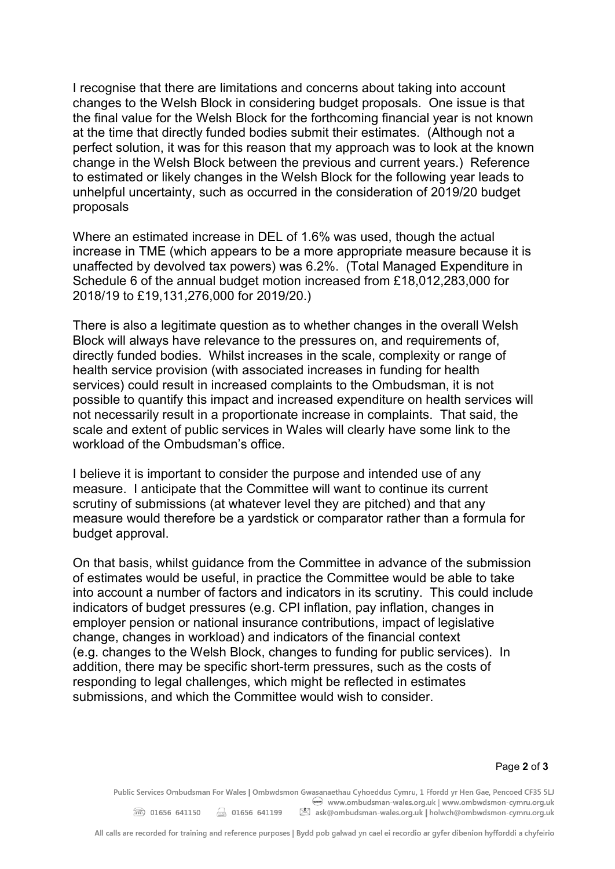I recognise that there are limitations and concerns about taking into account changes to the Welsh Block in considering budget proposals. One issue is that the final value for the Welsh Block for the forthcoming financial year is not known at the time that directly funded bodies submit their estimates. (Although not a perfect solution, it was for this reason that my approach was to look at the known change in the Welsh Block between the previous and current years.) Reference to estimated or likely changes in the Welsh Block for the following year leads to unhelpful uncertainty, such as occurred in the consideration of 2019/20 budget proposals

Where an estimated increase in DEL of 1.6% was used, though the actual increase in TME (which appears to be a more appropriate measure because it is unaffected by devolved tax powers) was 6.2%. (Total Managed Expenditure in Schedule 6 of the annual budget motion increased from £18,012,283,000 for 2018/19 to £19,131,276,000 for 2019/20.)

There is also a legitimate question as to whether changes in the overall Welsh Block will always have relevance to the pressures on, and requirements of, directly funded bodies. Whilst increases in the scale, complexity or range of health service provision (with associated increases in funding for health services) could result in increased complaints to the Ombudsman, it is not possible to quantify this impact and increased expenditure on health services will not necessarily result in a proportionate increase in complaints. That said, the scale and extent of public services in Wales will clearly have some link to the workload of the Ombudsman's office.

I believe it is important to consider the purpose and intended use of any measure. I anticipate that the Committee will want to continue its current scrutiny of submissions (at whatever level they are pitched) and that any measure would therefore be a yardstick or comparator rather than a formula for budget approval.

On that basis, whilst guidance from the Committee in advance of the submission of estimates would be useful, in practice the Committee would be able to take into account a number of factors and indicators in its scrutiny. This could include indicators of budget pressures (e.g. CPI inflation, pay inflation, changes in employer pension or national insurance contributions, impact of legislative change, changes in workload) and indicators of the financial context (e.g. changes to the Welsh Block, changes to funding for public services). In addition, there may be specific short-term pressures, such as the costs of responding to legal challenges, which might be reflected in estimates submissions, and which the Committee would wish to consider.

Public Services Ombudsman For Wales | Ombwdsmon Gwasanaethau Cyhoeddus Cymru, 1 Ffordd yr Hen Gae, Pencoed CF35 5LJ www.ombudsman-wales.org.uk | www.ombwdsmon-cymru.org.uk 2 01656 641150 3 01656 641199 8 ask@ombudsman-wales.org.uk | holwch@ombwdsmon-cymru.org.uk

All calls are recorded for training and reference purposes | Bydd pob galwad yn cael ei recordio ar gyfer dibenion hyfforddi a chyfeirio